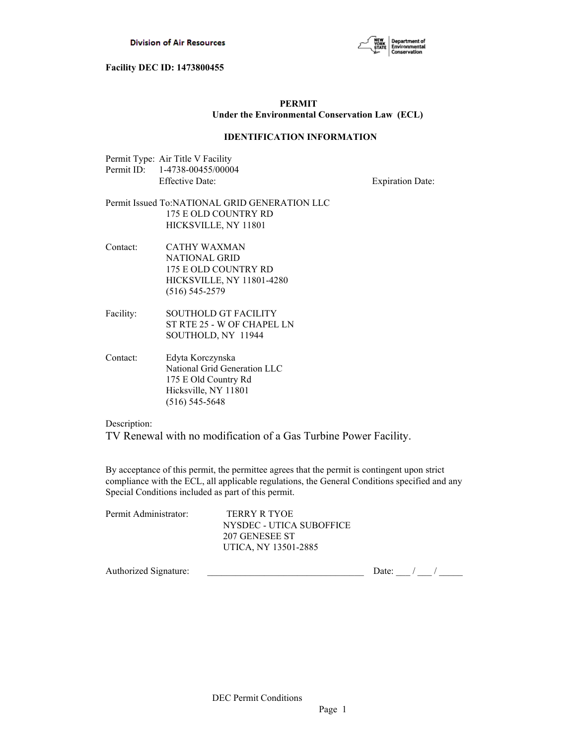

# **PERMIT Under the Environmental Conservation Law (ECL)**

## **IDENTIFICATION INFORMATION**

| Permit Type: Air Title V Facility |
|-----------------------------------|
| Permit ID: 1-4738-00455/00004     |
| <b>Effective Date:</b>            |

Expiration Date:

# Permit Issued To:NATIONAL GRID GENERATION LLC 175 E OLD COUNTRY RD HICKSVILLE, NY 11801

Contact: CATHY WAXMAN NATIONAL GRID 175 E OLD COUNTRY RD HICKSVILLE, NY 11801-4280 (516) 545-2579

- Facility: SOUTHOLD GT FACILITY ST RTE 25 - W OF CHAPEL LN SOUTHOLD, NY 11944
- Contact: Edyta Korczynska National Grid Generation LLC 175 E Old Country Rd Hicksville, NY 11801 (516) 545-5648

Description:

TV Renewal with no modification of a Gas Turbine Power Facility.

By acceptance of this permit, the permittee agrees that the permit is contingent upon strict compliance with the ECL, all applicable regulations, the General Conditions specified and any Special Conditions included as part of this permit.

| Permit Administrator: | TERRY R TYOE             |
|-----------------------|--------------------------|
|                       | NYSDEC - UTICA SUBOFFICE |
|                       | 207 GENESEE ST           |
|                       | UTICA, NY 13501-2885     |
|                       |                          |

Authorized Signature:  $\frac{1}{2}$  Date:  $\frac{1}{2}$  Date:  $\frac{1}{2}$  /  $\frac{1}{2}$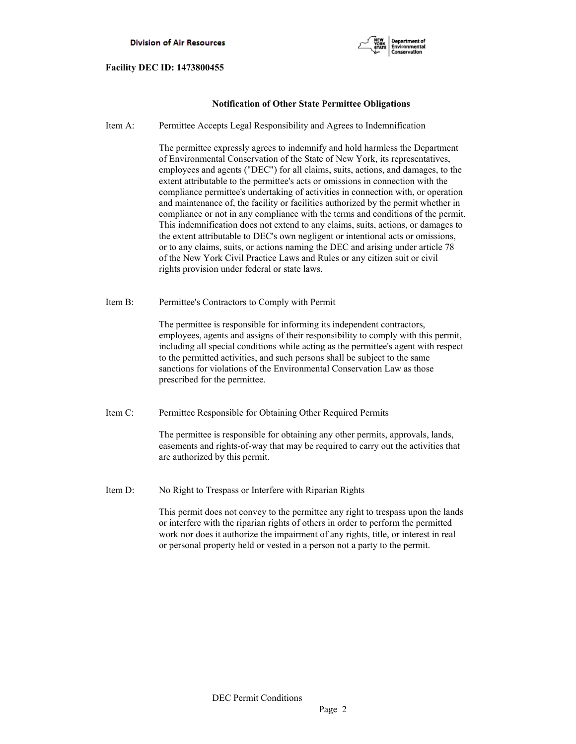

## **Notification of Other State Permittee Obligations**

Item A: Permittee Accepts Legal Responsibility and Agrees to Indemnification

 The permittee expressly agrees to indemnify and hold harmless the Department of Environmental Conservation of the State of New York, its representatives, employees and agents ("DEC") for all claims, suits, actions, and damages, to the extent attributable to the permittee's acts or omissions in connection with the compliance permittee's undertaking of activities in connection with, or operation and maintenance of, the facility or facilities authorized by the permit whether in compliance or not in any compliance with the terms and conditions of the permit. This indemnification does not extend to any claims, suits, actions, or damages to the extent attributable to DEC's own negligent or intentional acts or omissions, or to any claims, suits, or actions naming the DEC and arising under article 78 of the New York Civil Practice Laws and Rules or any citizen suit or civil rights provision under federal or state laws.

Item B: Permittee's Contractors to Comply with Permit

 The permittee is responsible for informing its independent contractors, employees, agents and assigns of their responsibility to comply with this permit, including all special conditions while acting as the permittee's agent with respect to the permitted activities, and such persons shall be subject to the same sanctions for violations of the Environmental Conservation Law as those prescribed for the permittee.

Item C: Permittee Responsible for Obtaining Other Required Permits

 The permittee is responsible for obtaining any other permits, approvals, lands, easements and rights-of-way that may be required to carry out the activities that are authorized by this permit.

Item D: No Right to Trespass or Interfere with Riparian Rights

 This permit does not convey to the permittee any right to trespass upon the lands or interfere with the riparian rights of others in order to perform the permitted work nor does it authorize the impairment of any rights, title, or interest in real or personal property held or vested in a person not a party to the permit.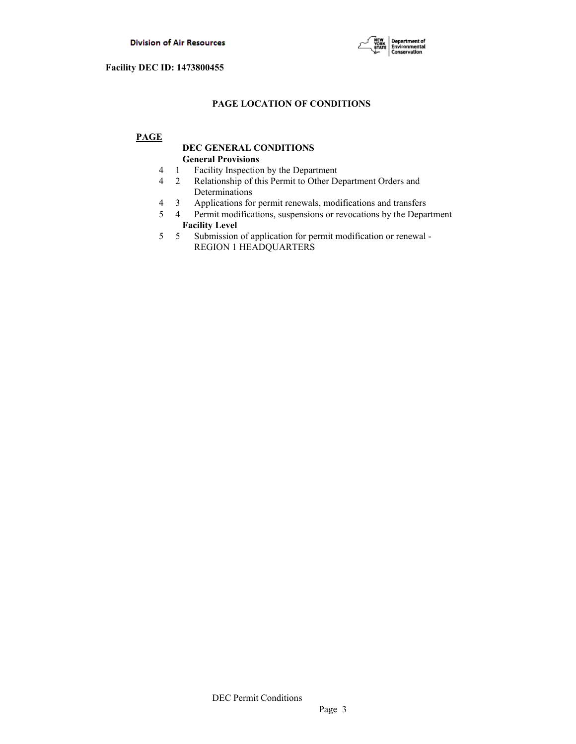

# **PAGE LOCATION OF CONDITIONS**

# **PAGE**

# **DEC GENERAL CONDITIONS General Provisions**

- 4 1 Facility Inspection by the Department
- 4 2 Relationship of this Permit to Other Department Orders and Determinations
- 4 3 Applications for permit renewals, modifications and transfers
- 5 4 Permit modifications, suspensions or revocations by the Department  **Facility Level**
- 5 5 Submission of application for permit modification or renewal REGION 1 HEADQUARTERS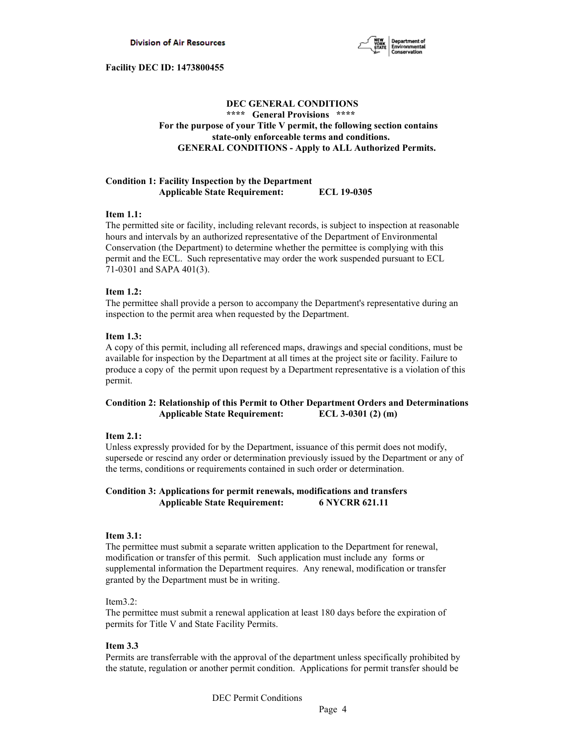

# **DEC GENERAL CONDITIONS \*\*\*\* General Provisions \*\*\*\* For the purpose of your Title V permit, the following section contains state-only enforceable terms and conditions. GENERAL CONDITIONS - Apply to ALL Authorized Permits.**

## **Condition 1: Facility Inspection by the Department Applicable State Requirement: ECL 19-0305**

## **Item 1.1:**

The permitted site or facility, including relevant records, is subject to inspection at reasonable hours and intervals by an authorized representative of the Department of Environmental Conservation (the Department) to determine whether the permittee is complying with this permit and the ECL. Such representative may order the work suspended pursuant to ECL 71-0301 and SAPA 401(3).

## **Item 1.2:**

The permittee shall provide a person to accompany the Department's representative during an inspection to the permit area when requested by the Department.

## **Item 1.3:**

A copy of this permit, including all referenced maps, drawings and special conditions, must be available for inspection by the Department at all times at the project site or facility. Failure to produce a copy of the permit upon request by a Department representative is a violation of this permit.

# **Condition 2: Relationship of this Permit to Other Department Orders and Determinations Applicable State Requirement: ECL 3-0301 (2) (m)**

## **Item 2.1:**

Unless expressly provided for by the Department, issuance of this permit does not modify, supersede or rescind any order or determination previously issued by the Department or any of the terms, conditions or requirements contained in such order or determination.

## **Condition 3: Applications for permit renewals, modifications and transfers Applicable State Requirement: 6 NYCRR 621.11**

## **Item 3.1:**

The permittee must submit a separate written application to the Department for renewal, modification or transfer of this permit. Such application must include any forms or supplemental information the Department requires. Any renewal, modification or transfer granted by the Department must be in writing.

## Item3.2:

The permittee must submit a renewal application at least 180 days before the expiration of permits for Title V and State Facility Permits.

## **Item 3.3**

Permits are transferrable with the approval of the department unless specifically prohibited by the statute, regulation or another permit condition. Applications for permit transfer should be

DEC Permit Conditions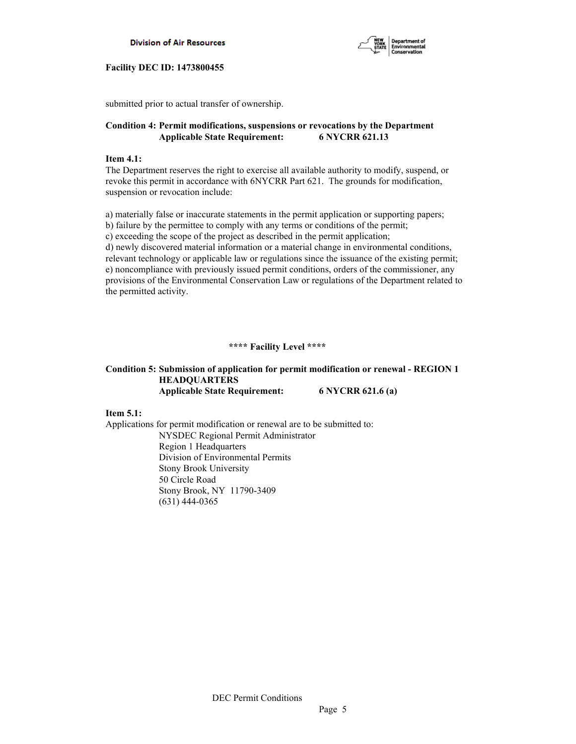



submitted prior to actual transfer of ownership.

# **Condition 4: Permit modifications, suspensions or revocations by the Department Applicable State Requirement: 6 NYCRR 621.13**

## **Item 4.1:**

The Department reserves the right to exercise all available authority to modify, suspend, or revoke this permit in accordance with 6NYCRR Part 621. The grounds for modification, suspension or revocation include:

a) materially false or inaccurate statements in the permit application or supporting papers; b) failure by the permittee to comply with any terms or conditions of the permit; c) exceeding the scope of the project as described in the permit application; d) newly discovered material information or a material change in environmental conditions, relevant technology or applicable law or regulations since the issuance of the existing permit; e) noncompliance with previously issued permit conditions, orders of the commissioner, any provisions of the Environmental Conservation Law or regulations of the Department related to the permitted activity.

# **\*\*\*\* Facility Level \*\*\*\***

# **Condition 5: Submission of application for permit modification or renewal - REGION 1 HEADQUARTERS Applicable State Requirement: 6 NYCRR 621.6 (a)**

**Item 5.1:** 

Applications for permit modification or renewal are to be submitted to: NYSDEC Regional Permit Administrator Region 1 Headquarters Division of Environmental Permits Stony Brook University 50 Circle Road Stony Brook, NY 11790-3409 (631) 444-0365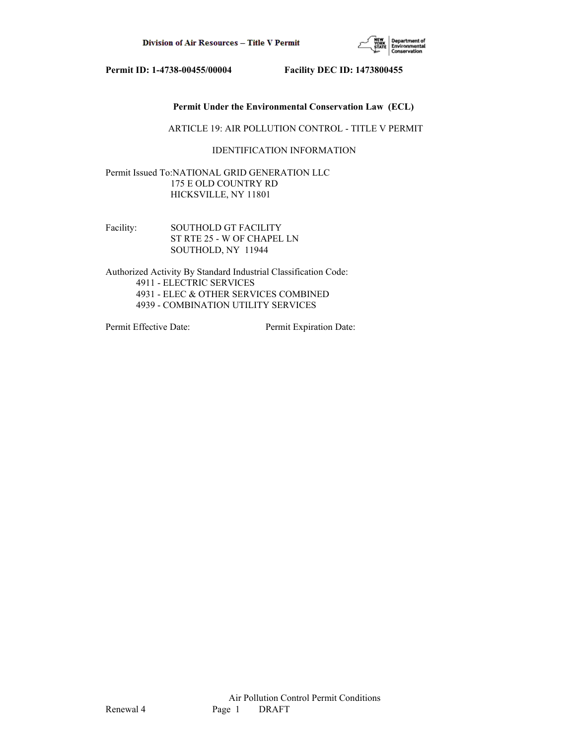

## **Permit Under the Environmental Conservation Law (ECL)**

ARTICLE 19: AIR POLLUTION CONTROL - TITLE V PERMIT

## IDENTIFICATION INFORMATION

Permit Issued To:NATIONAL GRID GENERATION LLC 175 E OLD COUNTRY RD HICKSVILLE, NY 11801

Facility: SOUTHOLD GT FACILITY ST RTE 25 - W OF CHAPEL LN SOUTHOLD, NY 11944

Authorized Activity By Standard Industrial Classification Code: 4911 - ELECTRIC SERVICES 4931 - ELEC & OTHER SERVICES COMBINED 4939 - COMBINATION UTILITY SERVICES

Permit Effective Date: Permit Expiration Date: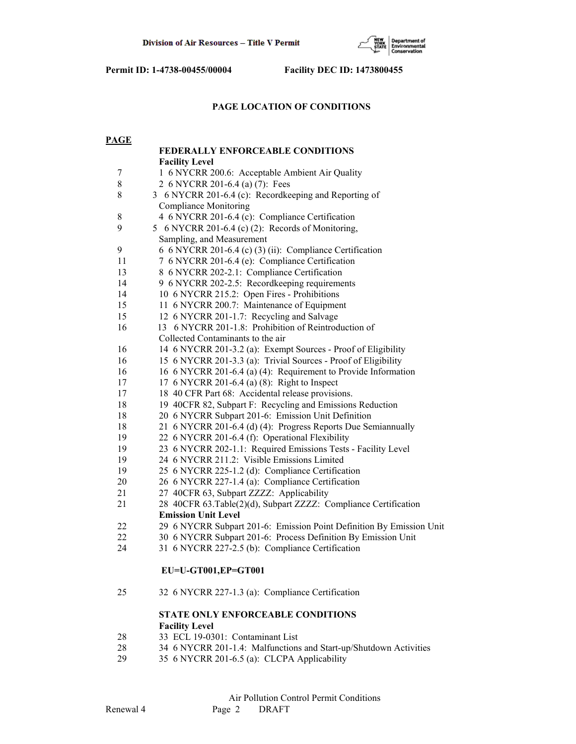

# **PAGE LOCATION OF CONDITIONS**

| <b>PAGE</b> |                                                                      |
|-------------|----------------------------------------------------------------------|
|             | <b>FEDERALLY ENFORCEABLE CONDITIONS</b>                              |
|             | <b>Facility Level</b>                                                |
| 7           | 1 6 NYCRR 200.6: Acceptable Ambient Air Quality                      |
| $8\,$       | 2 6 NYCRR 201-6.4 (a) (7): Fees                                      |
| 8           | 3 6 NYCRR 201-6.4 (c): Recordkeeping and Reporting of                |
|             | <b>Compliance Monitoring</b>                                         |
| 8           | 4 6 NYCRR 201-6.4 (c): Compliance Certification                      |
| 9           | 5 6 NYCRR 201-6.4 (c) (2): Records of Monitoring,                    |
|             | Sampling, and Measurement                                            |
| 9           | 6 6 NYCRR 201-6.4 (c) (3) (ii): Compliance Certification             |
| 11          | 7 6 NYCRR 201-6.4 (e): Compliance Certification                      |
| 13          | 8 6 NYCRR 202-2.1: Compliance Certification                          |
| 14          | 9 6 NYCRR 202-2.5: Recordkeeping requirements                        |
| 14          | 10 6 NYCRR 215.2: Open Fires - Prohibitions                          |
| 15          | 11 6 NYCRR 200.7: Maintenance of Equipment                           |
| 15          | 12 6 NYCRR 201-1.7: Recycling and Salvage                            |
| 16          | 13 6 NYCRR 201-1.8: Prohibition of Reintroduction of                 |
|             | Collected Contaminants to the air                                    |
| 16          | 14 6 NYCRR 201-3.2 (a): Exempt Sources - Proof of Eligibility        |
| 16          | 15 6 NYCRR 201-3.3 (a): Trivial Sources - Proof of Eligibility       |
| 16          | 16 6 NYCRR 201-6.4 (a) (4): Requirement to Provide Information       |
| 17          | 17 6 NYCRR 201-6.4 (a) (8): Right to Inspect                         |
| 17          | 18 40 CFR Part 68: Accidental release provisions.                    |
| 18          | 19 40CFR 82, Subpart F: Recycling and Emissions Reduction            |
| 18          | 20 6 NYCRR Subpart 201-6: Emission Unit Definition                   |
| 18          | 21 6 NYCRR 201-6.4 (d) (4): Progress Reports Due Semiannually        |
| 19          | 22 6 NYCRR 201-6.4 (f): Operational Flexibility                      |
| 19          | 23 6 NYCRR 202-1.1: Required Emissions Tests - Facility Level        |
| 19          | 24 6 NYCRR 211.2: Visible Emissions Limited                          |
| 19          | 25 6 NYCRR 225-1.2 (d): Compliance Certification                     |
| 20          | 26 6 NYCRR 227-1.4 (a): Compliance Certification                     |
| 21          | 27 40CFR 63, Subpart ZZZZ: Applicability                             |
| 21          | 28 40CFR 63.Table(2)(d), Subpart ZZZZ: Compliance Certification      |
|             | <b>Emission Unit Level</b>                                           |
| 22          | 29 6 NYCRR Subpart 201-6: Emission Point Definition By Emission Unit |
| 22          | 30 6 NYCRR Subpart 201-6: Process Definition By Emission Unit        |
| 24          | 31 6 NYCRR 227-2.5 (b): Compliance Certification                     |
|             | EU=U-GT001,EP=GT001                                                  |
| 25          | 32 6 NYCRR 227-1.3 (a): Compliance Certification                     |
|             | <b>STATE ONLY ENFORCEABLE CONDITIONS</b>                             |
|             | <b>Facility Level</b>                                                |
| 28          | 33 ECL 19-0301: Contaminant List                                     |
| 28          | 34 6 NYCRR 201-1.4: Malfunctions and Start-up/Shutdown Activities    |

29 35 6 NYCRR 201-6.5 (a): CLCPA Applicability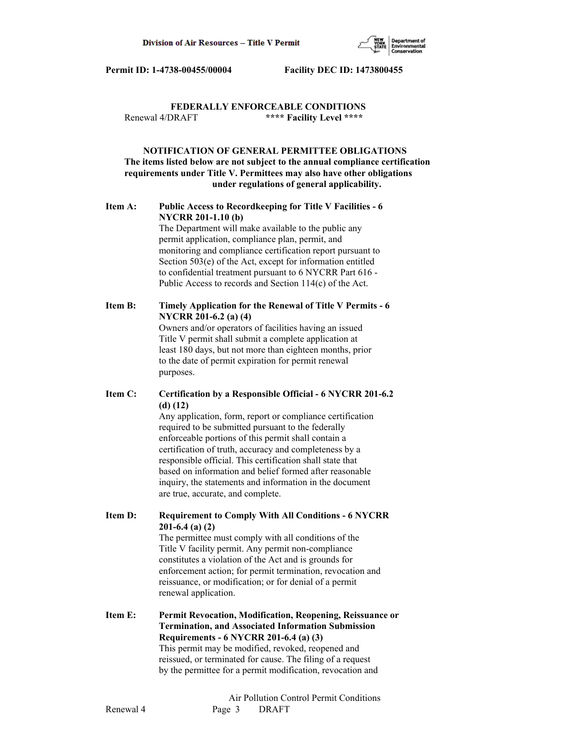

## **FEDERALLY ENFORCEABLE CONDITIONS** Renewal 4/DRAFT **\*\*\*\* Facility Level \*\*\*\***

# **NOTIFICATION OF GENERAL PERMITTEE OBLIGATIONS The items listed below are not subject to the annual compliance certification requirements under Title V. Permittees may also have other obligations under regulations of general applicability.**

# **Item A: Public Access to Recordkeeping for Title V Facilities - 6 NYCRR 201-1.10 (b)**

 The Department will make available to the public any permit application, compliance plan, permit, and monitoring and compliance certification report pursuant to Section 503(e) of the Act, except for information entitled to confidential treatment pursuant to 6 NYCRR Part 616 - Public Access to records and Section 114(c) of the Act.

# **Item B: Timely Application for the Renewal of Title V Permits - 6 NYCRR 201-6.2 (a) (4)**

 Owners and/or operators of facilities having an issued Title V permit shall submit a complete application at least 180 days, but not more than eighteen months, prior to the date of permit expiration for permit renewal purposes.

# **Item C: Certification by a Responsible Official - 6 NYCRR 201-6.2 (d) (12)**

 Any application, form, report or compliance certification required to be submitted pursuant to the federally enforceable portions of this permit shall contain a certification of truth, accuracy and completeness by a responsible official. This certification shall state that based on information and belief formed after reasonable inquiry, the statements and information in the document are true, accurate, and complete.

**Item D: Requirement to Comply With All Conditions - 6 NYCRR 201-6.4 (a) (2)**

 The permittee must comply with all conditions of the Title V facility permit. Any permit non-compliance constitutes a violation of the Act and is grounds for enforcement action; for permit termination, revocation and reissuance, or modification; or for denial of a permit renewal application.

**Item E: Permit Revocation, Modification, Reopening, Reissuance or Termination, and Associated Information Submission Requirements - 6 NYCRR 201-6.4 (a) (3)** This permit may be modified, revoked, reopened and reissued, or terminated for cause. The filing of a request by the permittee for a permit modification, revocation and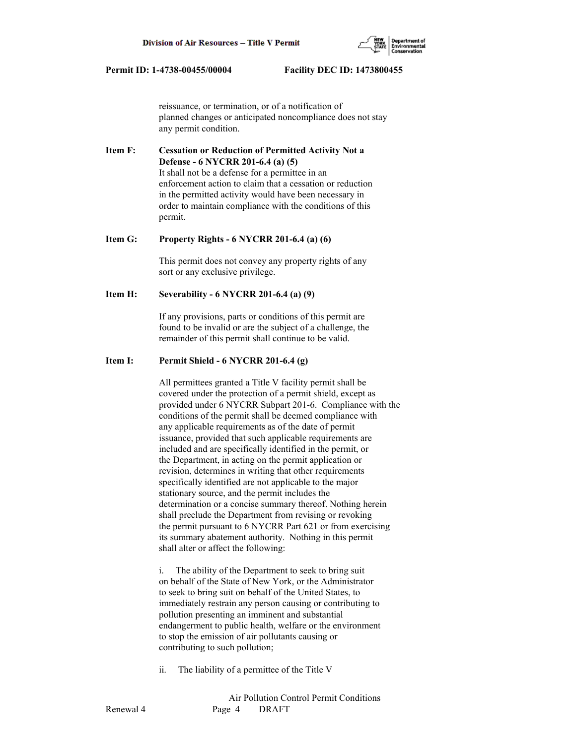reissuance, or termination, or of a notification of planned changes or anticipated noncompliance does not stay any permit condition.

**Item F: Cessation or Reduction of Permitted Activity Not a Defense - 6 NYCRR 201-6.4 (a) (5)** It shall not be a defense for a permittee in an enforcement action to claim that a cessation or reduction in the permitted activity would have been necessary in order to maintain compliance with the conditions of this permit.

#### **Item G: Property Rights - 6 NYCRR 201-6.4 (a) (6)**

 This permit does not convey any property rights of any sort or any exclusive privilege.

### **Item H: Severability - 6 NYCRR 201-6.4 (a) (9)**

 If any provisions, parts or conditions of this permit are found to be invalid or are the subject of a challenge, the remainder of this permit shall continue to be valid.

## **Item I: Permit Shield - 6 NYCRR 201-6.4 (g)**

 All permittees granted a Title V facility permit shall be covered under the protection of a permit shield, except as provided under 6 NYCRR Subpart 201-6. Compliance with the conditions of the permit shall be deemed compliance with any applicable requirements as of the date of permit issuance, provided that such applicable requirements are included and are specifically identified in the permit, or the Department, in acting on the permit application or revision, determines in writing that other requirements specifically identified are not applicable to the major stationary source, and the permit includes the determination or a concise summary thereof. Nothing herein shall preclude the Department from revising or revoking the permit pursuant to 6 NYCRR Part 621 or from exercising its summary abatement authority. Nothing in this permit shall alter or affect the following:

 i. The ability of the Department to seek to bring suit on behalf of the State of New York, or the Administrator to seek to bring suit on behalf of the United States, to immediately restrain any person causing or contributing to pollution presenting an imminent and substantial endangerment to public health, welfare or the environment to stop the emission of air pollutants causing or contributing to such pollution;

ii. The liability of a permittee of the Title V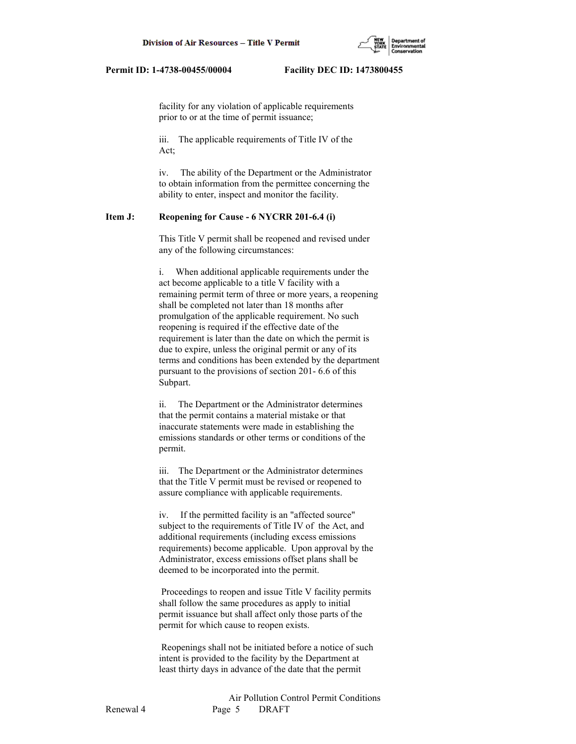

 facility for any violation of applicable requirements prior to or at the time of permit issuance;

 iii. The applicable requirements of Title IV of the Act;

 iv. The ability of the Department or the Administrator to obtain information from the permittee concerning the ability to enter, inspect and monitor the facility.

## **Item J: Reopening for Cause - 6 NYCRR 201-6.4 (i)**

 This Title V permit shall be reopened and revised under any of the following circumstances:

 i. When additional applicable requirements under the act become applicable to a title V facility with a remaining permit term of three or more years, a reopening shall be completed not later than 18 months after promulgation of the applicable requirement. No such reopening is required if the effective date of the requirement is later than the date on which the permit is due to expire, unless the original permit or any of its terms and conditions has been extended by the department pursuant to the provisions of section 201- 6.6 of this Subpart.

 ii. The Department or the Administrator determines that the permit contains a material mistake or that inaccurate statements were made in establishing the emissions standards or other terms or conditions of the permit.

 iii. The Department or the Administrator determines that the Title V permit must be revised or reopened to assure compliance with applicable requirements.

 iv. If the permitted facility is an "affected source" subject to the requirements of Title IV of the Act, and additional requirements (including excess emissions requirements) become applicable. Upon approval by the Administrator, excess emissions offset plans shall be deemed to be incorporated into the permit.

 Proceedings to reopen and issue Title V facility permits shall follow the same procedures as apply to initial permit issuance but shall affect only those parts of the permit for which cause to reopen exists.

 Reopenings shall not be initiated before a notice of such intent is provided to the facility by the Department at least thirty days in advance of the date that the permit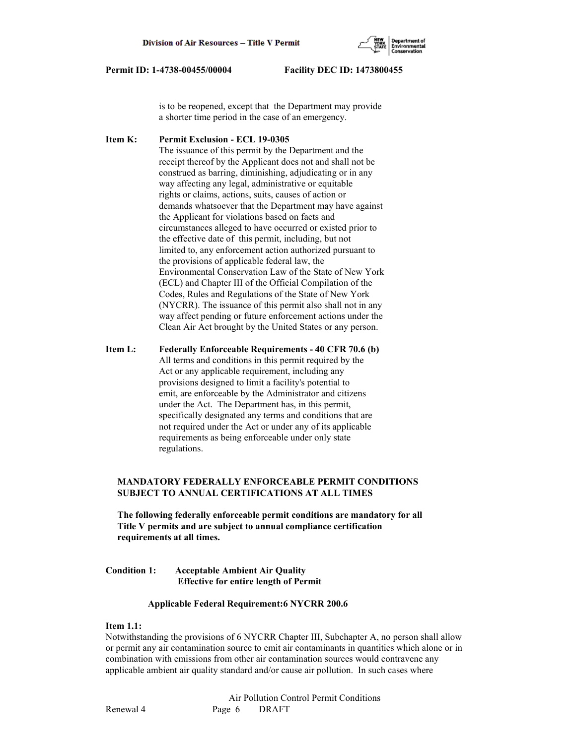

 is to be reopened, except that the Department may provide a shorter time period in the case of an emergency.

**Item K: Permit Exclusion - ECL 19-0305** The issuance of this permit by the Department and the receipt thereof by the Applicant does not and shall not be construed as barring, diminishing, adjudicating or in any way affecting any legal, administrative or equitable rights or claims, actions, suits, causes of action or demands whatsoever that the Department may have against the Applicant for violations based on facts and circumstances alleged to have occurred or existed prior to the effective date of this permit, including, but not limited to, any enforcement action authorized pursuant to the provisions of applicable federal law, the Environmental Conservation Law of the State of New York (ECL) and Chapter III of the Official Compilation of the Codes, Rules and Regulations of the State of New York (NYCRR). The issuance of this permit also shall not in any way affect pending or future enforcement actions under the Clean Air Act brought by the United States or any person.

**Item L: Federally Enforceable Requirements - 40 CFR 70.6 (b)** All terms and conditions in this permit required by the Act or any applicable requirement, including any provisions designed to limit a facility's potential to emit, are enforceable by the Administrator and citizens under the Act. The Department has, in this permit, specifically designated any terms and conditions that are not required under the Act or under any of its applicable requirements as being enforceable under only state regulations.

# **MANDATORY FEDERALLY ENFORCEABLE PERMIT CONDITIONS SUBJECT TO ANNUAL CERTIFICATIONS AT ALL TIMES**

 **The following federally enforceable permit conditions are mandatory for all Title V permits and are subject to annual compliance certification requirements at all times.**

## **Condition 1: Acceptable Ambient Air Quality Effective for entire length of Permit**

## **Applicable Federal Requirement:6 NYCRR 200.6**

## **Item 1.1:**

Notwithstanding the provisions of 6 NYCRR Chapter III, Subchapter A, no person shall allow or permit any air contamination source to emit air contaminants in quantities which alone or in combination with emissions from other air contamination sources would contravene any applicable ambient air quality standard and/or cause air pollution. In such cases where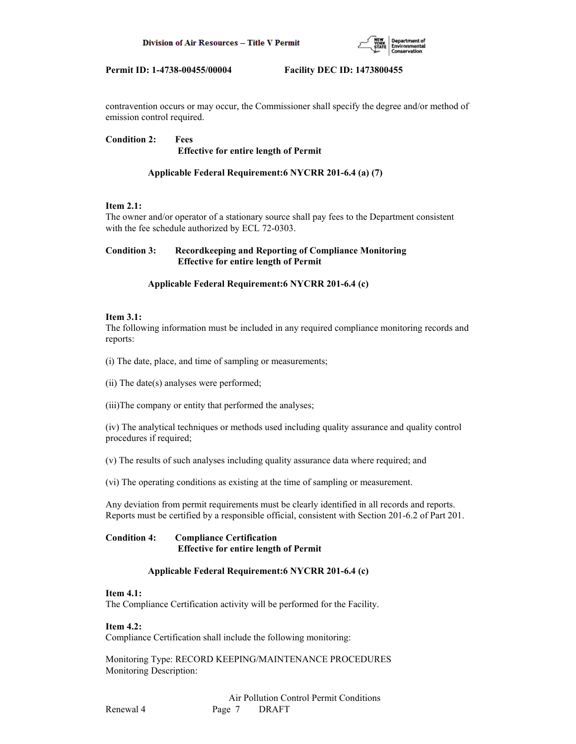

contravention occurs or may occur, the Commissioner shall specify the degree and/or method of emission control required.

**Condition 2: Fees Effective for entire length of Permit**

# **Applicable Federal Requirement:6 NYCRR 201-6.4 (a) (7)**

## **Item 2.1:**

The owner and/or operator of a stationary source shall pay fees to the Department consistent with the fee schedule authorized by ECL 72-0303.

## **Condition 3: Recordkeeping and Reporting of Compliance Monitoring Effective for entire length of Permit**

## **Applicable Federal Requirement:6 NYCRR 201-6.4 (c)**

## **Item 3.1:**

The following information must be included in any required compliance monitoring records and reports:

(i) The date, place, and time of sampling or measurements;

(ii) The date(s) analyses were performed;

(iii)The company or entity that performed the analyses;

(iv) The analytical techniques or methods used including quality assurance and quality control procedures if required;

(v) The results of such analyses including quality assurance data where required; and

(vi) The operating conditions as existing at the time of sampling or measurement.

Any deviation from permit requirements must be clearly identified in all records and reports. Reports must be certified by a responsible official, consistent with Section 201-6.2 of Part 201.

## **Condition 4: Compliance Certification Effective for entire length of Permit**

# **Applicable Federal Requirement:6 NYCRR 201-6.4 (c)**

## **Item 4.1:**

The Compliance Certification activity will be performed for the Facility.

## **Item 4.2:**

Compliance Certification shall include the following monitoring:

Monitoring Type: RECORD KEEPING/MAINTENANCE PROCEDURES Monitoring Description: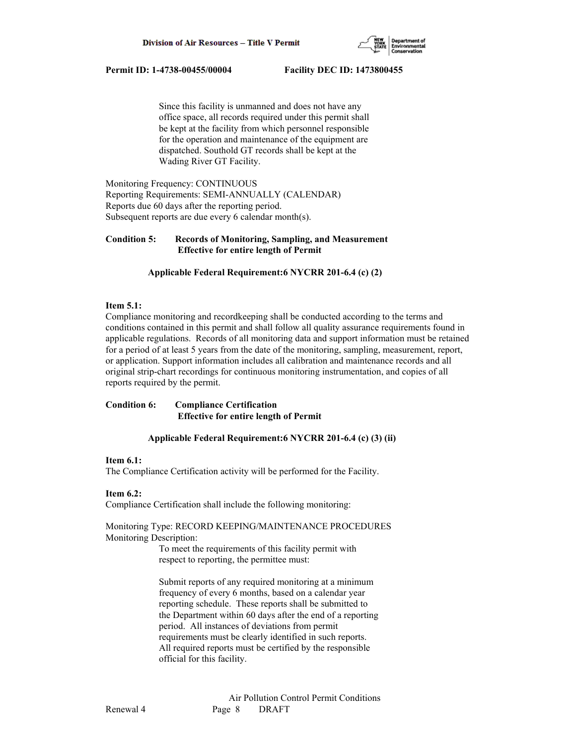

 Since this facility is unmanned and does not have any office space, all records required under this permit shall be kept at the facility from which personnel responsible for the operation and maintenance of the equipment are dispatched. Southold GT records shall be kept at the Wading River GT Facility.

Monitoring Frequency: CONTINUOUS Reporting Requirements: SEMI-ANNUALLY (CALENDAR) Reports due 60 days after the reporting period. Subsequent reports are due every 6 calendar month(s).

# **Condition 5: Records of Monitoring, Sampling, and Measurement Effective for entire length of Permit**

## **Applicable Federal Requirement:6 NYCRR 201-6.4 (c) (2)**

## **Item 5.1:**

Compliance monitoring and recordkeeping shall be conducted according to the terms and conditions contained in this permit and shall follow all quality assurance requirements found in applicable regulations. Records of all monitoring data and support information must be retained for a period of at least 5 years from the date of the monitoring, sampling, measurement, report, or application. Support information includes all calibration and maintenance records and all original strip-chart recordings for continuous monitoring instrumentation, and copies of all reports required by the permit.

# **Condition 6: Compliance Certification Effective for entire length of Permit**

## **Applicable Federal Requirement:6 NYCRR 201-6.4 (c) (3) (ii)**

## **Item 6.1:**

The Compliance Certification activity will be performed for the Facility.

## **Item 6.2:**

Compliance Certification shall include the following monitoring:

## Monitoring Type: RECORD KEEPING/MAINTENANCE PROCEDURES Monitoring Description:

 To meet the requirements of this facility permit with respect to reporting, the permittee must:

 Submit reports of any required monitoring at a minimum frequency of every 6 months, based on a calendar year reporting schedule. These reports shall be submitted to the Department within 60 days after the end of a reporting period. All instances of deviations from permit requirements must be clearly identified in such reports. All required reports must be certified by the responsible official for this facility.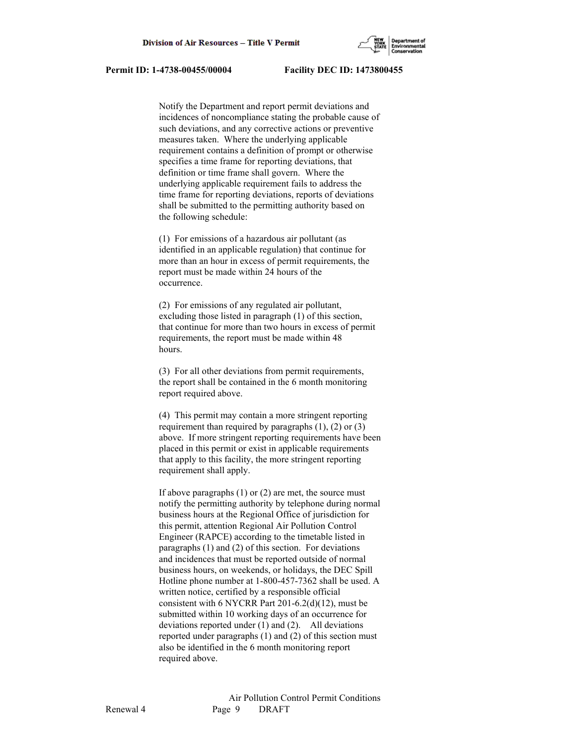

 Notify the Department and report permit deviations and incidences of noncompliance stating the probable cause of such deviations, and any corrective actions or preventive measures taken. Where the underlying applicable requirement contains a definition of prompt or otherwise specifies a time frame for reporting deviations, that definition or time frame shall govern. Where the underlying applicable requirement fails to address the time frame for reporting deviations, reports of deviations shall be submitted to the permitting authority based on the following schedule:

 (1) For emissions of a hazardous air pollutant (as identified in an applicable regulation) that continue for more than an hour in excess of permit requirements, the report must be made within 24 hours of the occurrence.

 (2) For emissions of any regulated air pollutant, excluding those listed in paragraph (1) of this section, that continue for more than two hours in excess of permit requirements, the report must be made within 48 hours.

 (3) For all other deviations from permit requirements, the report shall be contained in the 6 month monitoring report required above.

 (4) This permit may contain a more stringent reporting requirement than required by paragraphs (1), (2) or (3) above. If more stringent reporting requirements have been placed in this permit or exist in applicable requirements that apply to this facility, the more stringent reporting requirement shall apply.

 If above paragraphs (1) or (2) are met, the source must notify the permitting authority by telephone during normal business hours at the Regional Office of jurisdiction for this permit, attention Regional Air Pollution Control Engineer (RAPCE) according to the timetable listed in paragraphs (1) and (2) of this section. For deviations and incidences that must be reported outside of normal business hours, on weekends, or holidays, the DEC Spill Hotline phone number at 1-800-457-7362 shall be used. A written notice, certified by a responsible official consistent with 6 NYCRR Part 201-6.2(d)(12), must be submitted within 10 working days of an occurrence for deviations reported under (1) and (2). All deviations reported under paragraphs (1) and (2) of this section must also be identified in the 6 month monitoring report required above.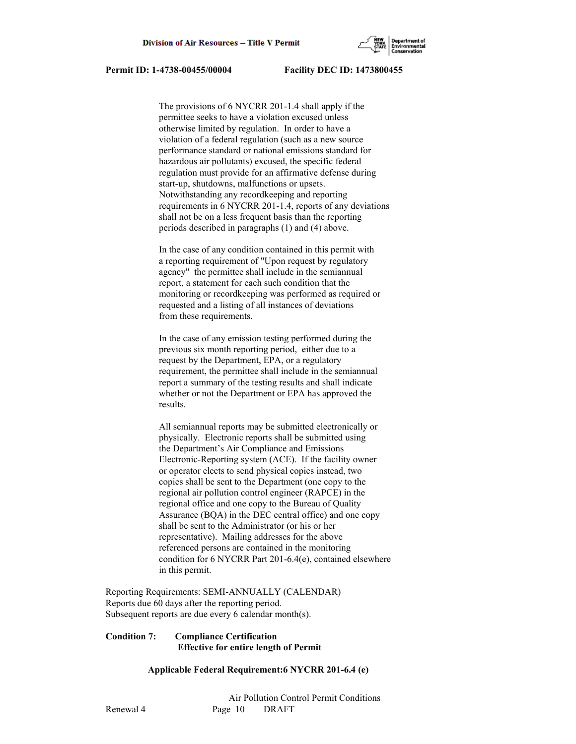

 The provisions of 6 NYCRR 201-1.4 shall apply if the permittee seeks to have a violation excused unless otherwise limited by regulation. In order to have a violation of a federal regulation (such as a new source performance standard or national emissions standard for hazardous air pollutants) excused, the specific federal regulation must provide for an affirmative defense during start-up, shutdowns, malfunctions or upsets. Notwithstanding any recordkeeping and reporting requirements in 6 NYCRR 201-1.4, reports of any deviations shall not be on a less frequent basis than the reporting periods described in paragraphs (1) and (4) above.

 In the case of any condition contained in this permit with a reporting requirement of "Upon request by regulatory agency" the permittee shall include in the semiannual report, a statement for each such condition that the monitoring or recordkeeping was performed as required or requested and a listing of all instances of deviations from these requirements.

 In the case of any emission testing performed during the previous six month reporting period, either due to a request by the Department, EPA, or a regulatory requirement, the permittee shall include in the semiannual report a summary of the testing results and shall indicate whether or not the Department or EPA has approved the results.

 All semiannual reports may be submitted electronically or physically. Electronic reports shall be submitted using the Department's Air Compliance and Emissions Electronic-Reporting system (ACE). If the facility owner or operator elects to send physical copies instead, two copies shall be sent to the Department (one copy to the regional air pollution control engineer (RAPCE) in the regional office and one copy to the Bureau of Quality Assurance (BQA) in the DEC central office) and one copy shall be sent to the Administrator (or his or her representative). Mailing addresses for the above referenced persons are contained in the monitoring condition for 6 NYCRR Part 201-6.4(e), contained elsewhere in this permit.

Reporting Requirements: SEMI-ANNUALLY (CALENDAR) Reports due 60 days after the reporting period. Subsequent reports are due every 6 calendar month(s).

## **Condition 7: Compliance Certification Effective for entire length of Permit**

## **Applicable Federal Requirement:6 NYCRR 201-6.4 (e)**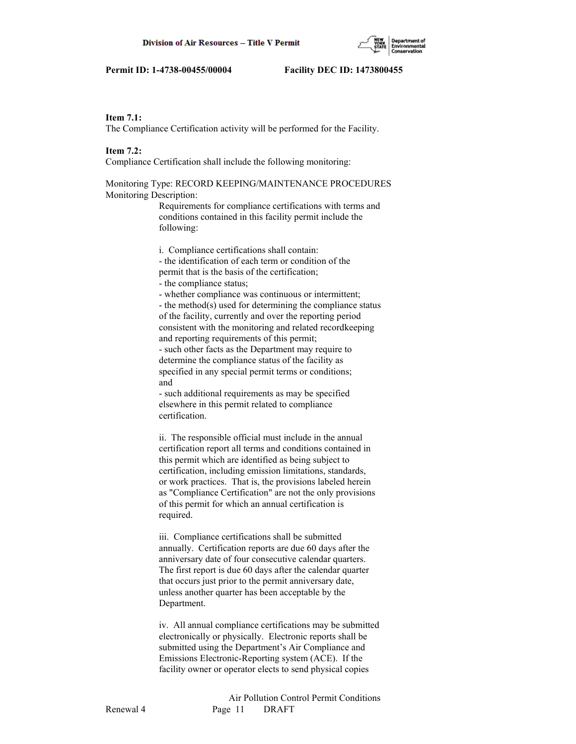#### **Item 7.1:**

The Compliance Certification activity will be performed for the Facility.

## **Item 7.2:**

Compliance Certification shall include the following monitoring:

# Monitoring Type: RECORD KEEPING/MAINTENANCE PROCEDURES Monitoring Description:

 Requirements for compliance certifications with terms and conditions contained in this facility permit include the following:

i. Compliance certifications shall contain:

 - the identification of each term or condition of the permit that is the basis of the certification;

- the compliance status;

- whether compliance was continuous or intermittent;

 - the method(s) used for determining the compliance status of the facility, currently and over the reporting period consistent with the monitoring and related recordkeeping and reporting requirements of this permit;

 - such other facts as the Department may require to determine the compliance status of the facility as specified in any special permit terms or conditions; and

 - such additional requirements as may be specified elsewhere in this permit related to compliance certification.

 ii. The responsible official must include in the annual certification report all terms and conditions contained in this permit which are identified as being subject to certification, including emission limitations, standards, or work practices. That is, the provisions labeled herein as "Compliance Certification" are not the only provisions of this permit for which an annual certification is required.

 iii. Compliance certifications shall be submitted annually. Certification reports are due 60 days after the anniversary date of four consecutive calendar quarters. The first report is due 60 days after the calendar quarter that occurs just prior to the permit anniversary date, unless another quarter has been acceptable by the Department.

 iv. All annual compliance certifications may be submitted electronically or physically. Electronic reports shall be submitted using the Department's Air Compliance and Emissions Electronic-Reporting system (ACE). If the facility owner or operator elects to send physical copies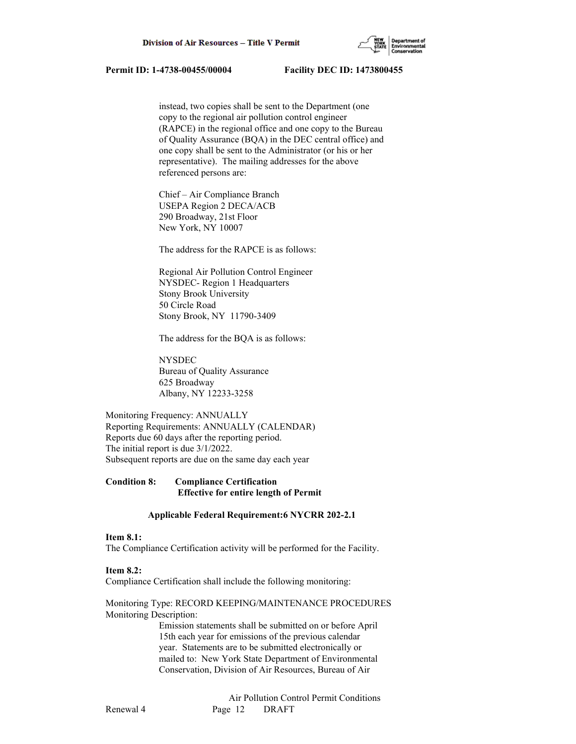

 instead, two copies shall be sent to the Department (one copy to the regional air pollution control engineer (RAPCE) in the regional office and one copy to the Bureau of Quality Assurance (BQA) in the DEC central office) and one copy shall be sent to the Administrator (or his or her representative). The mailing addresses for the above referenced persons are:

 Chief – Air Compliance Branch USEPA Region 2 DECA/ACB 290 Broadway, 21st Floor New York, NY 10007

The address for the RAPCE is as follows:

 Regional Air Pollution Control Engineer NYSDEC- Region 1 Headquarters Stony Brook University 50 Circle Road Stony Brook, NY 11790-3409

The address for the BQA is as follows:

 NYSDEC Bureau of Quality Assurance 625 Broadway Albany, NY 12233-3258

Monitoring Frequency: ANNUALLY Reporting Requirements: ANNUALLY (CALENDAR) Reports due 60 days after the reporting period. The initial report is due 3/1/2022. Subsequent reports are due on the same day each year

# **Condition 8: Compliance Certification Effective for entire length of Permit**

#### **Applicable Federal Requirement:6 NYCRR 202-2.1**

#### **Item 8.1:**

The Compliance Certification activity will be performed for the Facility.

#### **Item 8.2:**

Compliance Certification shall include the following monitoring:

## Monitoring Type: RECORD KEEPING/MAINTENANCE PROCEDURES Monitoring Description:

 Emission statements shall be submitted on or before April 15th each year for emissions of the previous calendar year. Statements are to be submitted electronically or mailed to: New York State Department of Environmental Conservation, Division of Air Resources, Bureau of Air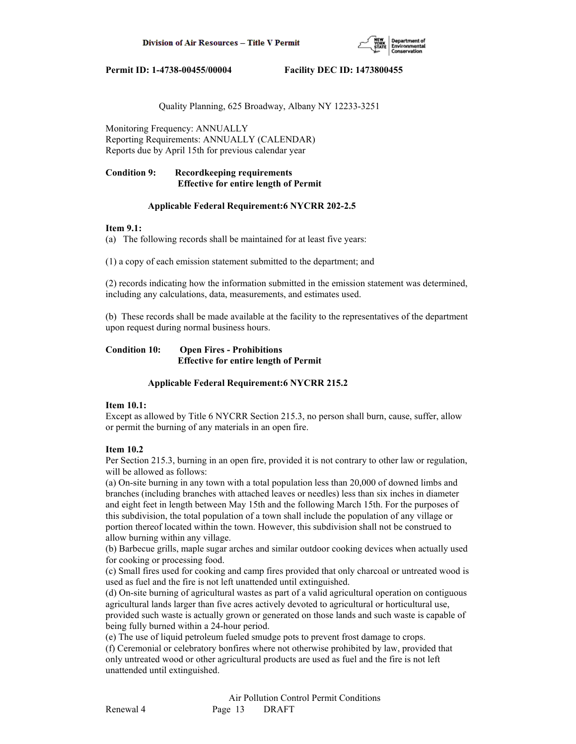

Quality Planning, 625 Broadway, Albany NY 12233-3251

Monitoring Frequency: ANNUALLY Reporting Requirements: ANNUALLY (CALENDAR) Reports due by April 15th for previous calendar year

# **Condition 9: Recordkeeping requirements Effective for entire length of Permit**

## **Applicable Federal Requirement:6 NYCRR 202-2.5**

## **Item 9.1:**

(a) The following records shall be maintained for at least five years:

(1) a copy of each emission statement submitted to the department; and

(2) records indicating how the information submitted in the emission statement was determined, including any calculations, data, measurements, and estimates used.

(b) These records shall be made available at the facility to the representatives of the department upon request during normal business hours.

# **Condition 10: Open Fires - Prohibitions Effective for entire length of Permit**

# **Applicable Federal Requirement:6 NYCRR 215.2**

# **Item 10.1:**

Except as allowed by Title 6 NYCRR Section 215.3, no person shall burn, cause, suffer, allow or permit the burning of any materials in an open fire.

# **Item 10.2**

Per Section 215.3, burning in an open fire, provided it is not contrary to other law or regulation, will be allowed as follows:

(a) On-site burning in any town with a total population less than 20,000 of downed limbs and branches (including branches with attached leaves or needles) less than six inches in diameter and eight feet in length between May 15th and the following March 15th. For the purposes of this subdivision, the total population of a town shall include the population of any village or portion thereof located within the town. However, this subdivision shall not be construed to allow burning within any village.

(b) Barbecue grills, maple sugar arches and similar outdoor cooking devices when actually used for cooking or processing food.

(c) Small fires used for cooking and camp fires provided that only charcoal or untreated wood is used as fuel and the fire is not left unattended until extinguished.

(d) On-site burning of agricultural wastes as part of a valid agricultural operation on contiguous agricultural lands larger than five acres actively devoted to agricultural or horticultural use, provided such waste is actually grown or generated on those lands and such waste is capable of being fully burned within a 24-hour period.

(e) The use of liquid petroleum fueled smudge pots to prevent frost damage to crops.

(f) Ceremonial or celebratory bonfires where not otherwise prohibited by law, provided that only untreated wood or other agricultural products are used as fuel and the fire is not left unattended until extinguished.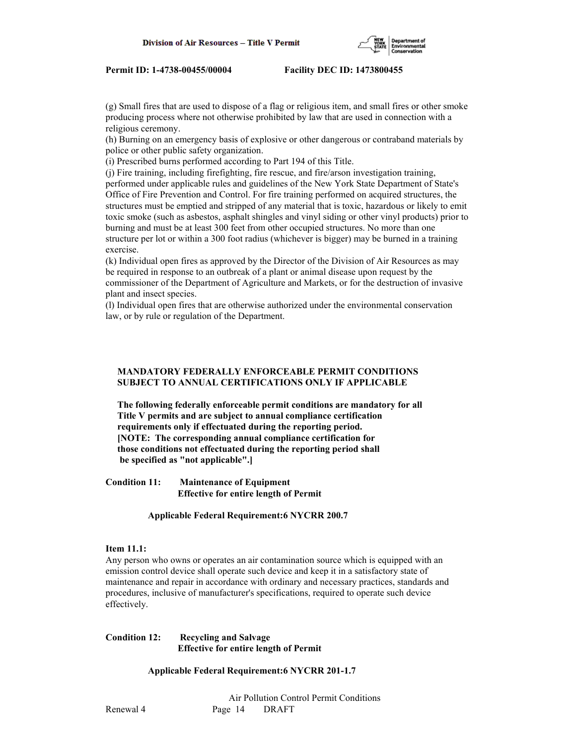

(g) Small fires that are used to dispose of a flag or religious item, and small fires or other smoke producing process where not otherwise prohibited by law that are used in connection with a religious ceremony.

(h) Burning on an emergency basis of explosive or other dangerous or contraband materials by police or other public safety organization.

(i) Prescribed burns performed according to Part 194 of this Title.

(j) Fire training, including firefighting, fire rescue, and fire/arson investigation training, performed under applicable rules and guidelines of the New York State Department of State's Office of Fire Prevention and Control. For fire training performed on acquired structures, the structures must be emptied and stripped of any material that is toxic, hazardous or likely to emit toxic smoke (such as asbestos, asphalt shingles and vinyl siding or other vinyl products) prior to burning and must be at least 300 feet from other occupied structures. No more than one structure per lot or within a 300 foot radius (whichever is bigger) may be burned in a training exercise.

(k) Individual open fires as approved by the Director of the Division of Air Resources as may be required in response to an outbreak of a plant or animal disease upon request by the commissioner of the Department of Agriculture and Markets, or for the destruction of invasive plant and insect species.

(l) Individual open fires that are otherwise authorized under the environmental conservation law, or by rule or regulation of the Department.

## **MANDATORY FEDERALLY ENFORCEABLE PERMIT CONDITIONS SUBJECT TO ANNUAL CERTIFICATIONS ONLY IF APPLICABLE**

 **The following federally enforceable permit conditions are mandatory for all Title V permits and are subject to annual compliance certification requirements only if effectuated during the reporting period. [NOTE: The corresponding annual compliance certification for those conditions not effectuated during the reporting period shall be specified as "not applicable".]**

**Condition 11: Maintenance of Equipment Effective for entire length of Permit**

 **Applicable Federal Requirement:6 NYCRR 200.7**

## **Item 11.1:**

Any person who owns or operates an air contamination source which is equipped with an emission control device shall operate such device and keep it in a satisfactory state of maintenance and repair in accordance with ordinary and necessary practices, standards and procedures, inclusive of manufacturer's specifications, required to operate such device effectively.

# **Condition 12: Recycling and Salvage Effective for entire length of Permit**

 **Applicable Federal Requirement:6 NYCRR 201-1.7**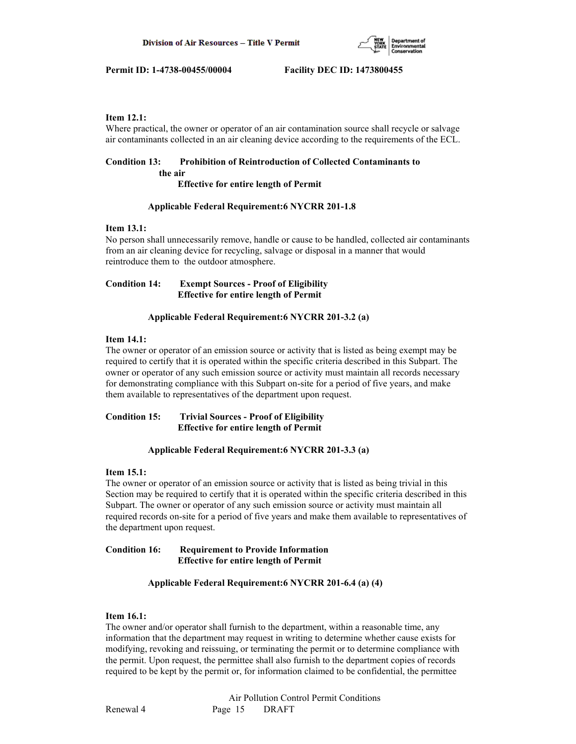

## **Item 12.1:**

Where practical, the owner or operator of an air contamination source shall recycle or salvage air contaminants collected in an air cleaning device according to the requirements of the ECL.

#### **Condition 13: Prohibition of Reintroduction of Collected Contaminants to the air**

 **Effective for entire length of Permit**

## **Applicable Federal Requirement:6 NYCRR 201-1.8**

## **Item 13.1:**

No person shall unnecessarily remove, handle or cause to be handled, collected air contaminants from an air cleaning device for recycling, salvage or disposal in a manner that would reintroduce them to the outdoor atmosphere.

# **Condition 14: Exempt Sources - Proof of Eligibility Effective for entire length of Permit**

## **Applicable Federal Requirement:6 NYCRR 201-3.2 (a)**

## **Item 14.1:**

The owner or operator of an emission source or activity that is listed as being exempt may be required to certify that it is operated within the specific criteria described in this Subpart. The owner or operator of any such emission source or activity must maintain all records necessary for demonstrating compliance with this Subpart on-site for a period of five years, and make them available to representatives of the department upon request.

# **Condition 15: Trivial Sources - Proof of Eligibility Effective for entire length of Permit**

# **Applicable Federal Requirement:6 NYCRR 201-3.3 (a)**

## **Item 15.1:**

The owner or operator of an emission source or activity that is listed as being trivial in this Section may be required to certify that it is operated within the specific criteria described in this Subpart. The owner or operator of any such emission source or activity must maintain all required records on-site for a period of five years and make them available to representatives of the department upon request.

## **Condition 16: Requirement to Provide Information Effective for entire length of Permit**

## **Applicable Federal Requirement:6 NYCRR 201-6.4 (a) (4)**

## **Item 16.1:**

The owner and/or operator shall furnish to the department, within a reasonable time, any information that the department may request in writing to determine whether cause exists for modifying, revoking and reissuing, or terminating the permit or to determine compliance with the permit. Upon request, the permittee shall also furnish to the department copies of records required to be kept by the permit or, for information claimed to be confidential, the permittee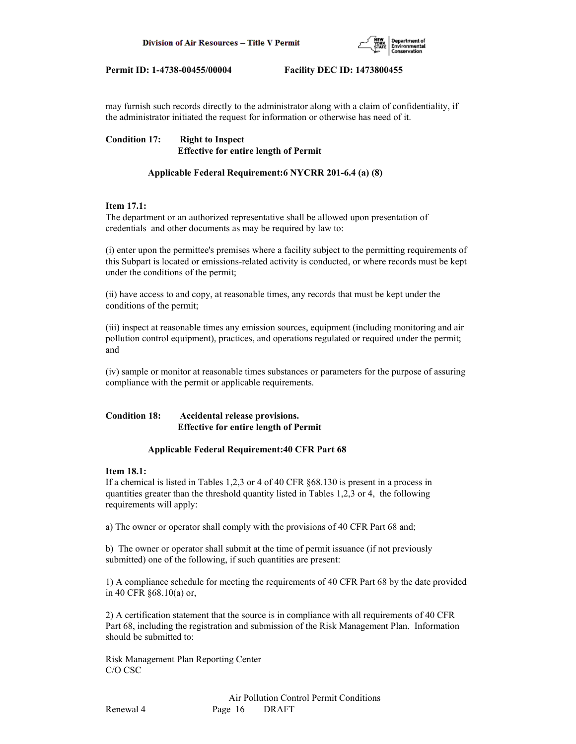

may furnish such records directly to the administrator along with a claim of confidentiality, if the administrator initiated the request for information or otherwise has need of it.

**Condition 17: Right to Inspect Effective for entire length of Permit**

# **Applicable Federal Requirement:6 NYCRR 201-6.4 (a) (8)**

# **Item 17.1:**

The department or an authorized representative shall be allowed upon presentation of credentials and other documents as may be required by law to:

(i) enter upon the permittee's premises where a facility subject to the permitting requirements of this Subpart is located or emissions-related activity is conducted, or where records must be kept under the conditions of the permit;

(ii) have access to and copy, at reasonable times, any records that must be kept under the conditions of the permit;

(iii) inspect at reasonable times any emission sources, equipment (including monitoring and air pollution control equipment), practices, and operations regulated or required under the permit; and

(iv) sample or monitor at reasonable times substances or parameters for the purpose of assuring compliance with the permit or applicable requirements.

# **Condition 18: Accidental release provisions. Effective for entire length of Permit**

## **Applicable Federal Requirement:40 CFR Part 68**

## **Item 18.1:**

If a chemical is listed in Tables 1,2,3 or 4 of 40 CFR §68.130 is present in a process in quantities greater than the threshold quantity listed in Tables 1,2,3 or 4, the following requirements will apply:

a) The owner or operator shall comply with the provisions of 40 CFR Part 68 and;

b) The owner or operator shall submit at the time of permit issuance (if not previously submitted) one of the following, if such quantities are present:

1) A compliance schedule for meeting the requirements of 40 CFR Part 68 by the date provided in 40 CFR §68.10(a) or,

2) A certification statement that the source is in compliance with all requirements of 40 CFR Part 68, including the registration and submission of the Risk Management Plan. Information should be submitted to:

Risk Management Plan Reporting Center C/O CSC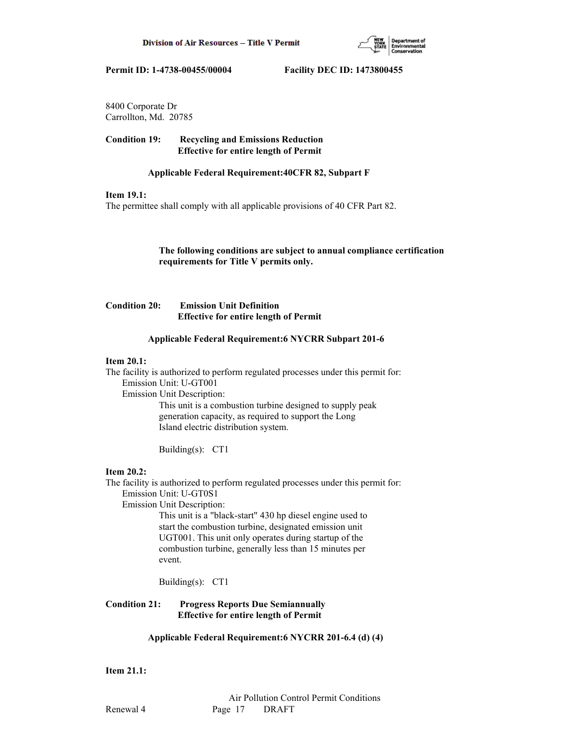

8400 Corporate Dr Carrollton, Md. 20785

**Condition 19: Recycling and Emissions Reduction Effective for entire length of Permit**

## **Applicable Federal Requirement:40CFR 82, Subpart F**

## **Item 19.1:**

The permittee shall comply with all applicable provisions of 40 CFR Part 82.

 **The following conditions are subject to annual compliance certification requirements for Title V permits only.**

# **Condition 20: Emission Unit Definition Effective for entire length of Permit**

## **Applicable Federal Requirement:6 NYCRR Subpart 201-6**

# **Item 20.1:**

The facility is authorized to perform regulated processes under this permit for: Emission Unit: U-GT001

Emission Unit Description:

 This unit is a combustion turbine designed to supply peak generation capacity, as required to support the Long Island electric distribution system.

Building(s): CT1

## **Item 20.2:**

The facility is authorized to perform regulated processes under this permit for: Emission Unit: U-GT0S1

Emission Unit Description:

 This unit is a "black-start" 430 hp diesel engine used to start the combustion turbine, designated emission unit UGT001. This unit only operates during startup of the combustion turbine, generally less than 15 minutes per event.

Building(s): CT1

**Condition 21: Progress Reports Due Semiannually Effective for entire length of Permit**

# **Applicable Federal Requirement:6 NYCRR 201-6.4 (d) (4)**

## **Item 21.1:**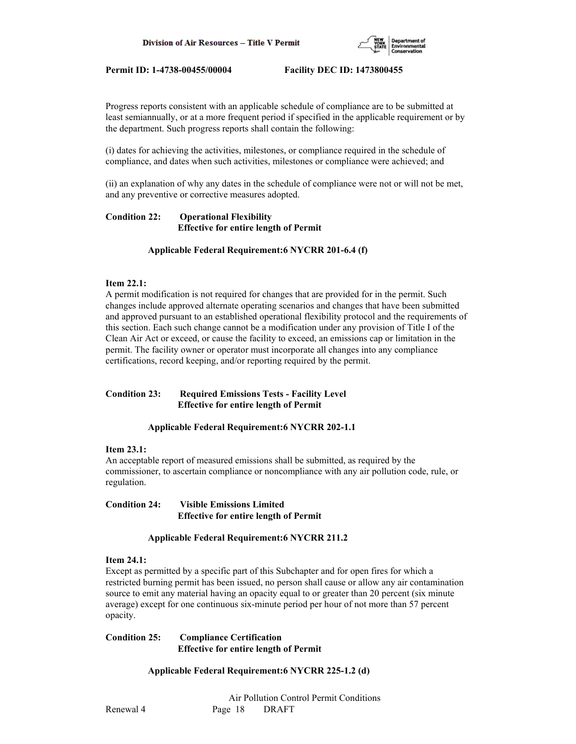

Progress reports consistent with an applicable schedule of compliance are to be submitted at least semiannually, or at a more frequent period if specified in the applicable requirement or by the department. Such progress reports shall contain the following:

(i) dates for achieving the activities, milestones, or compliance required in the schedule of compliance, and dates when such activities, milestones or compliance were achieved; and

(ii) an explanation of why any dates in the schedule of compliance were not or will not be met, and any preventive or corrective measures adopted.

# **Condition 22: Operational Flexibility Effective for entire length of Permit**

## **Applicable Federal Requirement:6 NYCRR 201-6.4 (f)**

## **Item 22.1:**

A permit modification is not required for changes that are provided for in the permit. Such changes include approved alternate operating scenarios and changes that have been submitted and approved pursuant to an established operational flexibility protocol and the requirements of this section. Each such change cannot be a modification under any provision of Title I of the Clean Air Act or exceed, or cause the facility to exceed, an emissions cap or limitation in the permit. The facility owner or operator must incorporate all changes into any compliance certifications, record keeping, and/or reporting required by the permit.

## **Condition 23: Required Emissions Tests - Facility Level Effective for entire length of Permit**

# **Applicable Federal Requirement:6 NYCRR 202-1.1**

## **Item 23.1:**

An acceptable report of measured emissions shall be submitted, as required by the commissioner, to ascertain compliance or noncompliance with any air pollution code, rule, or regulation.

## **Condition 24: Visible Emissions Limited Effective for entire length of Permit**

# **Applicable Federal Requirement:6 NYCRR 211.2**

## **Item 24.1:**

Except as permitted by a specific part of this Subchapter and for open fires for which a restricted burning permit has been issued, no person shall cause or allow any air contamination source to emit any material having an opacity equal to or greater than 20 percent (six minute average) except for one continuous six-minute period per hour of not more than 57 percent opacity.

## **Condition 25: Compliance Certification Effective for entire length of Permit**

# **Applicable Federal Requirement:6 NYCRR 225-1.2 (d)**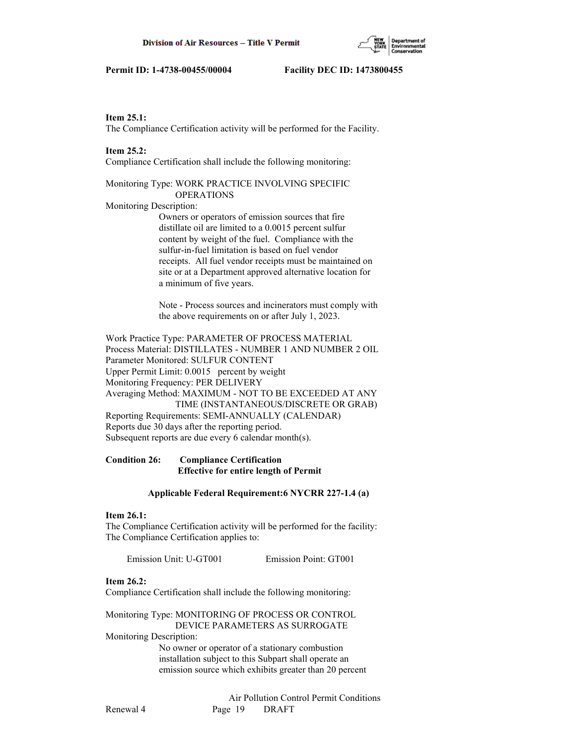#### **Item 25.1:**

The Compliance Certification activity will be performed for the Facility.

#### **Item 25.2:**

Compliance Certification shall include the following monitoring:

## Monitoring Type: WORK PRACTICE INVOLVING SPECIFIC OPERATIONS

Monitoring Description:

 Owners or operators of emission sources that fire distillate oil are limited to a 0.0015 percent sulfur content by weight of the fuel. Compliance with the sulfur-in-fuel limitation is based on fuel vendor receipts. All fuel vendor receipts must be maintained on site or at a Department approved alternative location for a minimum of five years.

 Note - Process sources and incinerators must comply with the above requirements on or after July 1, 2023.

Work Practice Type: PARAMETER OF PROCESS MATERIAL Process Material: DISTILLATES - NUMBER 1 AND NUMBER 2 OIL Parameter Monitored: SULFUR CONTENT Upper Permit Limit: 0.0015 percent by weight Monitoring Frequency: PER DELIVERY Averaging Method: MAXIMUM - NOT TO BE EXCEEDED AT ANY TIME (INSTANTANEOUS/DISCRETE OR GRAB) Reporting Requirements: SEMI-ANNUALLY (CALENDAR) Reports due 30 days after the reporting period. Subsequent reports are due every 6 calendar month(s).

# **Condition 26: Compliance Certification Effective for entire length of Permit**

#### **Applicable Federal Requirement:6 NYCRR 227-1.4 (a)**

#### **Item 26.1:**

The Compliance Certification activity will be performed for the facility: The Compliance Certification applies to:

Emission Unit: U-GT001 Emission Point: GT001

## **Item 26.2:**

Compliance Certification shall include the following monitoring:

Monitoring Type: MONITORING OF PROCESS OR CONTROL DEVICE PARAMETERS AS SURROGATE

Monitoring Description:

 No owner or operator of a stationary combustion installation subject to this Subpart shall operate an emission source which exhibits greater than 20 percent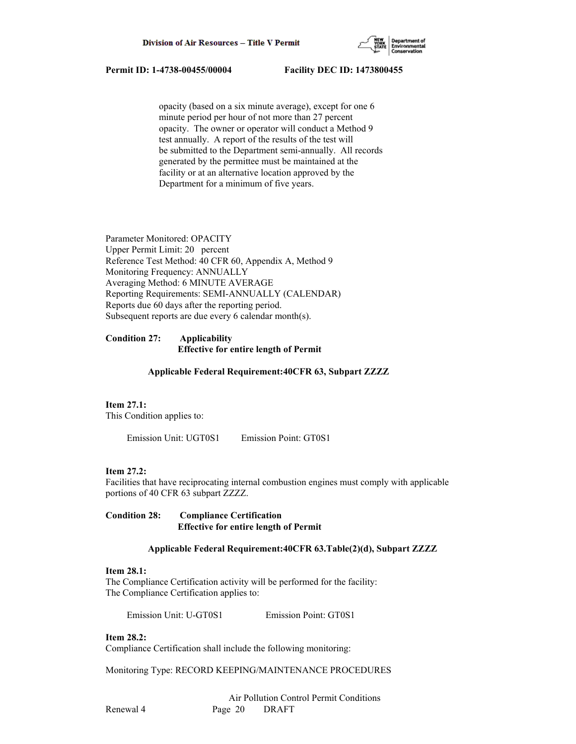

 opacity (based on a six minute average), except for one 6 minute period per hour of not more than 27 percent opacity. The owner or operator will conduct a Method 9 test annually. A report of the results of the test will be submitted to the Department semi-annually. All records generated by the permittee must be maintained at the facility or at an alternative location approved by the Department for a minimum of five years.

Parameter Monitored: OPACITY Upper Permit Limit: 20 percent Reference Test Method: 40 CFR 60, Appendix A, Method 9 Monitoring Frequency: ANNUALLY Averaging Method: 6 MINUTE AVERAGE Reporting Requirements: SEMI-ANNUALLY (CALENDAR) Reports due 60 days after the reporting period. Subsequent reports are due every 6 calendar month(s).

## **Condition 27: Applicability Effective for entire length of Permit**

#### **Applicable Federal Requirement:40CFR 63, Subpart ZZZZ**

## **Item 27.1:**

This Condition applies to:

Emission Unit: UGT0S1 Emission Point: GT0S1

#### **Item 27.2:**

Facilities that have reciprocating internal combustion engines must comply with applicable portions of 40 CFR 63 subpart ZZZZ.

**Condition 28: Compliance Certification Effective for entire length of Permit**

### **Applicable Federal Requirement:40CFR 63.Table(2)(d), Subpart ZZZZ**

#### **Item 28.1:**

The Compliance Certification activity will be performed for the facility: The Compliance Certification applies to:

Emission Unit: U-GT0S1 Emission Point: GT0S1

#### **Item 28.2:**

Compliance Certification shall include the following monitoring:

Monitoring Type: RECORD KEEPING/MAINTENANCE PROCEDURES

 Air Pollution Control Permit Conditions Renewal 4 Page 20 DRAFT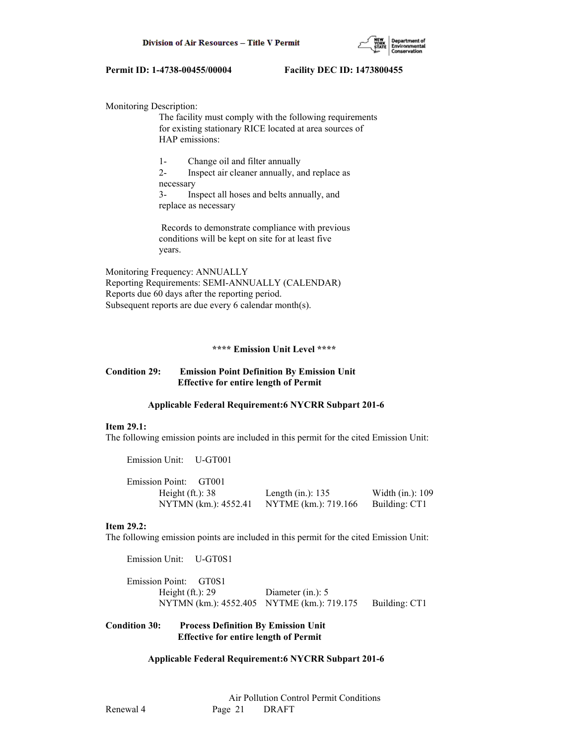

Monitoring Description:

 The facility must comply with the following requirements for existing stationary RICE located at area sources of HAP emissions:

 1- Change oil and filter annually 2- Inspect air cleaner annually, and replace as necessary 3- Inspect all hoses and belts annually, and replace as necessary

 Records to demonstrate compliance with previous conditions will be kept on site for at least five years.

Monitoring Frequency: ANNUALLY Reporting Requirements: SEMI-ANNUALLY (CALENDAR) Reports due 60 days after the reporting period. Subsequent reports are due every 6 calendar month(s).

#### **\*\*\*\* Emission Unit Level \*\*\*\***

### **Condition 29: Emission Point Definition By Emission Unit Effective for entire length of Permit**

#### **Applicable Federal Requirement:6 NYCRR Subpart 201-6**

#### **Item 29.1:**

The following emission points are included in this permit for the cited Emission Unit:

Emission Unit: U-GT001

| Emission Point: GT001 |                                    |                  |
|-----------------------|------------------------------------|------------------|
| Height $(ft.): 38$    | Length (in.): $135$                | Width (in.): 109 |
| NYTMN (km.): 4552.41  | NYTME (km.): 719.166 Building: CT1 |                  |

#### **Item 29.2:**

The following emission points are included in this permit for the cited Emission Unit:

 Emission Unit: U-GT0S1 Emission Point: GT0S1 Height (ft.): 29 Diameter (in.): 5 NYTMN (km.): 4552.405 NYTME (km.): 719.175 Building: CT1

## **Condition 30: Process Definition By Emission Unit Effective for entire length of Permit**

## **Applicable Federal Requirement:6 NYCRR Subpart 201-6**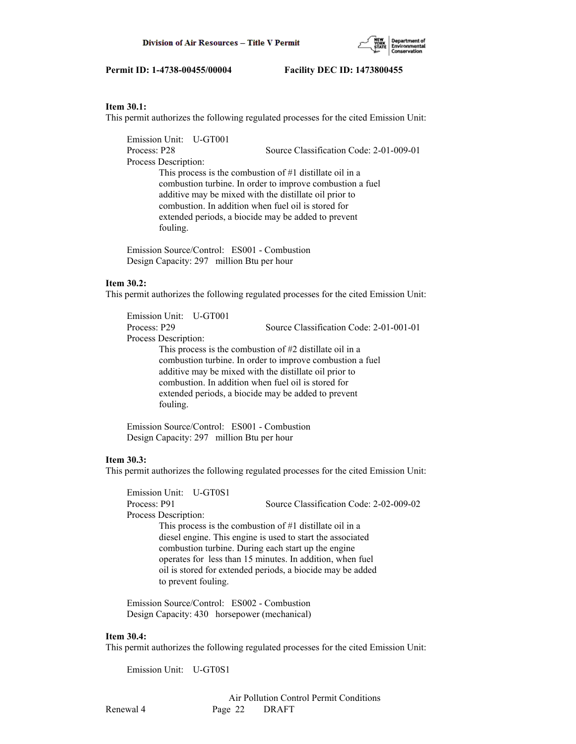

#### **Item 30.1:**

This permit authorizes the following regulated processes for the cited Emission Unit:

 Emission Unit: U-GT001 Process: P28 Source Classification Code: 2-01-009-01 Process Description: This process is the combustion of #1 distillate oil in a combustion turbine. In order to improve combustion a fuel additive may be mixed with the distillate oil prior to combustion. In addition when fuel oil is stored for extended periods, a biocide may be added to prevent fouling.

 Emission Source/Control: ES001 - Combustion Design Capacity: 297 million Btu per hour

## **Item 30.2:**

This permit authorizes the following regulated processes for the cited Emission Unit:

 Emission Unit: U-GT001 Process: P29 Source Classification Code: 2-01-001-01 Process Description: This process is the combustion of #2 distillate oil in a combustion turbine. In order to improve combustion a fuel additive may be mixed with the distillate oil prior to combustion. In addition when fuel oil is stored for extended periods, a biocide may be added to prevent fouling.

 Emission Source/Control: ES001 - Combustion Design Capacity: 297 million Btu per hour

## **Item 30.3:**

This permit authorizes the following regulated processes for the cited Emission Unit:

 Emission Unit: U-GT0S1 Process: P91 Source Classification Code: 2-02-009-02 Process Description: This process is the combustion of #1 distillate oil in a diesel engine. This engine is used to start the associated combustion turbine. During each start up the engine operates for less than 15 minutes. In addition, when fuel oil is stored for extended periods, a biocide may be added to prevent fouling.

 Emission Source/Control: ES002 - Combustion Design Capacity: 430 horsepower (mechanical)

#### **Item 30.4:**

This permit authorizes the following regulated processes for the cited Emission Unit:

Emission Unit: U-GT0S1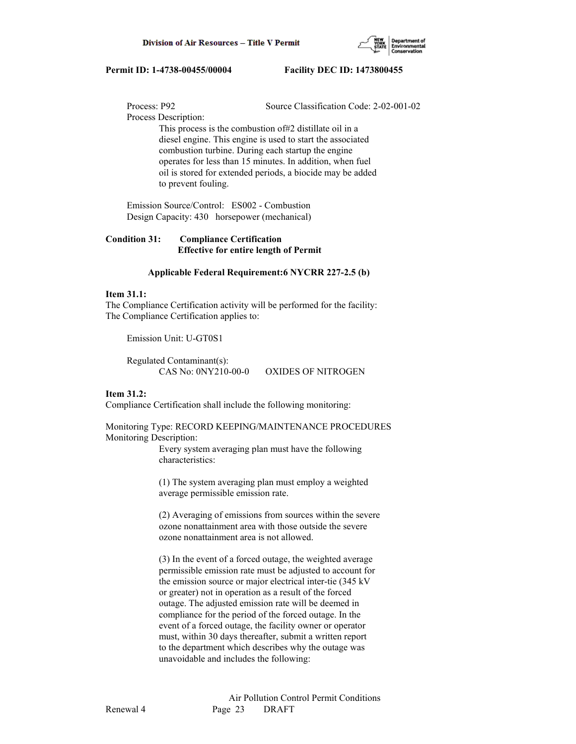

Process: P92 Source Classification Code: 2-02-001-02

Process Description:

 This process is the combustion of#2 distillate oil in a diesel engine. This engine is used to start the associated combustion turbine. During each startup the engine operates for less than 15 minutes. In addition, when fuel oil is stored for extended periods, a biocide may be added to prevent fouling.

 Emission Source/Control: ES002 - Combustion Design Capacity: 430 horsepower (mechanical)

**Condition 31: Compliance Certification Effective for entire length of Permit**

#### **Applicable Federal Requirement:6 NYCRR 227-2.5 (b)**

## **Item 31.1:**

The Compliance Certification activity will be performed for the facility: The Compliance Certification applies to:

Emission Unit: U-GT0S1

 Regulated Contaminant(s): CAS No: 0NY210-00-0 OXIDES OF NITROGEN

## **Item 31.2:**

Compliance Certification shall include the following monitoring:

Monitoring Type: RECORD KEEPING/MAINTENANCE PROCEDURES Monitoring Description:

> Every system averaging plan must have the following characteristics:

 (1) The system averaging plan must employ a weighted average permissible emission rate.

 (2) Averaging of emissions from sources within the severe ozone nonattainment area with those outside the severe ozone nonattainment area is not allowed.

 (3) In the event of a forced outage, the weighted average permissible emission rate must be adjusted to account for the emission source or major electrical inter-tie (345 kV or greater) not in operation as a result of the forced outage. The adjusted emission rate will be deemed in compliance for the period of the forced outage. In the event of a forced outage, the facility owner or operator must, within 30 days thereafter, submit a written report to the department which describes why the outage was unavoidable and includes the following: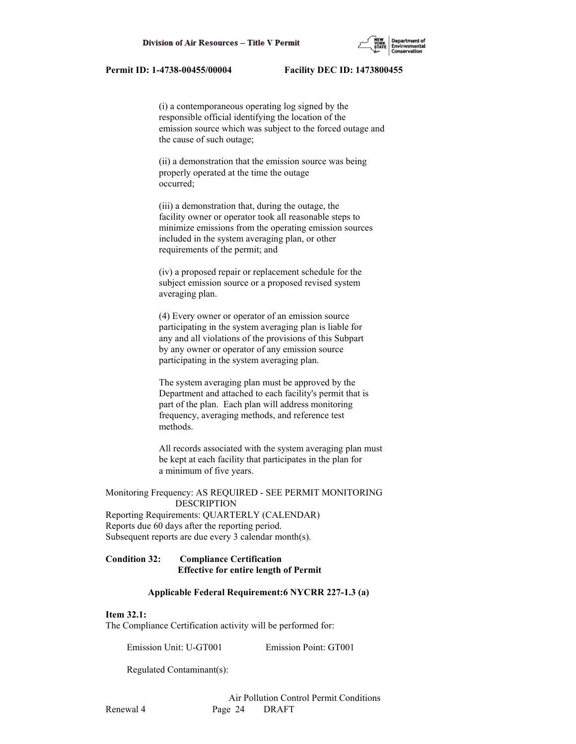(i) a contemporaneous operating log signed by the responsible official identifying the location of the emission source which was subject to the forced outage and the cause of such outage;

 (ii) a demonstration that the emission source was being properly operated at the time the outage occurred;

 (iii) a demonstration that, during the outage, the facility owner or operator took all reasonable steps to minimize emissions from the operating emission sources included in the system averaging plan, or other requirements of the permit; and

 (iv) a proposed repair or replacement schedule for the subject emission source or a proposed revised system averaging plan.

 (4) Every owner or operator of an emission source participating in the system averaging plan is liable for any and all violations of the provisions of this Subpart by any owner or operator of any emission source participating in the system averaging plan.

 The system averaging plan must be approved by the Department and attached to each facility's permit that is part of the plan. Each plan will address monitoring frequency, averaging methods, and reference test methods.

 All records associated with the system averaging plan must be kept at each facility that participates in the plan for a minimum of five years.

Monitoring Frequency: AS REQUIRED - SEE PERMIT MONITORING DESCRIPTION

Reporting Requirements: QUARTERLY (CALENDAR) Reports due 60 days after the reporting period. Subsequent reports are due every 3 calendar month(s).

# **Condition 32: Compliance Certification Effective for entire length of Permit**

## **Applicable Federal Requirement:6 NYCRR 227-1.3 (a)**

#### **Item 32.1:**

The Compliance Certification activity will be performed for:

Emission Unit: U-GT001 Emission Point: GT001

Regulated Contaminant(s):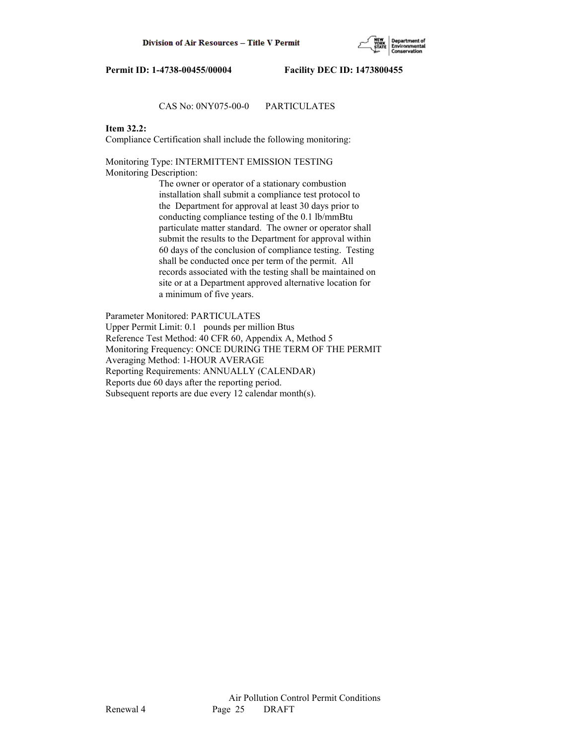

# CAS No: 0NY075-00-0 PARTICULATES

# **Item 32.2:**

Compliance Certification shall include the following monitoring:

Monitoring Type: INTERMITTENT EMISSION TESTING Monitoring Description:

> The owner or operator of a stationary combustion installation shall submit a compliance test protocol to the Department for approval at least 30 days prior to conducting compliance testing of the 0.1 lb/mmBtu particulate matter standard. The owner or operator shall submit the results to the Department for approval within 60 days of the conclusion of compliance testing. Testing shall be conducted once per term of the permit. All records associated with the testing shall be maintained on site or at a Department approved alternative location for a minimum of five years.

Parameter Monitored: PARTICULATES Upper Permit Limit: 0.1 pounds per million Btus Reference Test Method: 40 CFR 60, Appendix A, Method 5 Monitoring Frequency: ONCE DURING THE TERM OF THE PERMIT Averaging Method: 1-HOUR AVERAGE Reporting Requirements: ANNUALLY (CALENDAR) Reports due 60 days after the reporting period. Subsequent reports are due every 12 calendar month(s).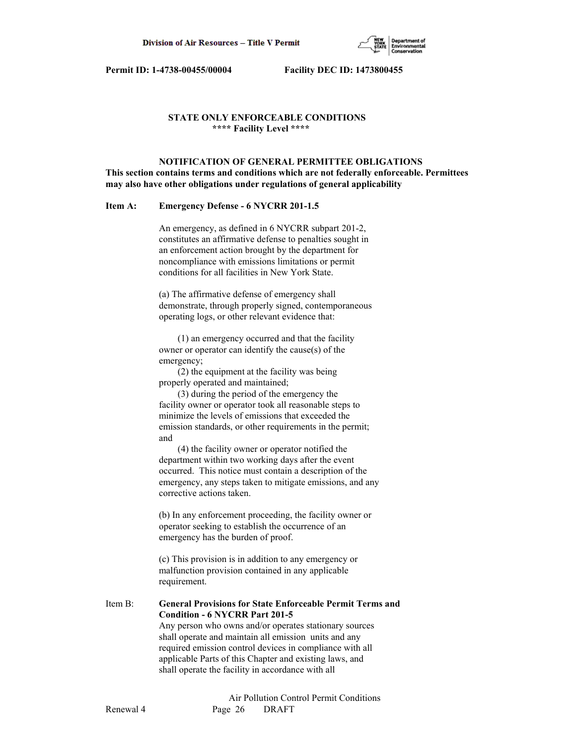

# **STATE ONLY ENFORCEABLE CONDITIONS \*\*\*\* Facility Level \*\*\*\***

 **NOTIFICATION OF GENERAL PERMITTEE OBLIGATIONS This section contains terms and conditions which are not federally enforceable. Permittees may also have other obligations under regulations of general applicability**

## **Item A: Emergency Defense - 6 NYCRR 201-1.5**

 An emergency, as defined in 6 NYCRR subpart 201-2, constitutes an affirmative defense to penalties sought in an enforcement action brought by the department for noncompliance with emissions limitations or permit conditions for all facilities in New York State.

 (a) The affirmative defense of emergency shall demonstrate, through properly signed, contemporaneous operating logs, or other relevant evidence that:

 (1) an emergency occurred and that the facility owner or operator can identify the cause(s) of the emergency;

 (2) the equipment at the facility was being properly operated and maintained;

 (3) during the period of the emergency the facility owner or operator took all reasonable steps to minimize the levels of emissions that exceeded the emission standards, or other requirements in the permit; and

 (4) the facility owner or operator notified the department within two working days after the event occurred. This notice must contain a description of the emergency, any steps taken to mitigate emissions, and any corrective actions taken.

 (b) In any enforcement proceeding, the facility owner or operator seeking to establish the occurrence of an emergency has the burden of proof.

 (c) This provision is in addition to any emergency or malfunction provision contained in any applicable requirement.

Item B: **General Provisions for State Enforceable Permit Terms and Condition - 6 NYCRR Part 201-5** Any person who owns and/or operates stationary sources shall operate and maintain all emission units and any required emission control devices in compliance with all

> applicable Parts of this Chapter and existing laws, and shall operate the facility in accordance with all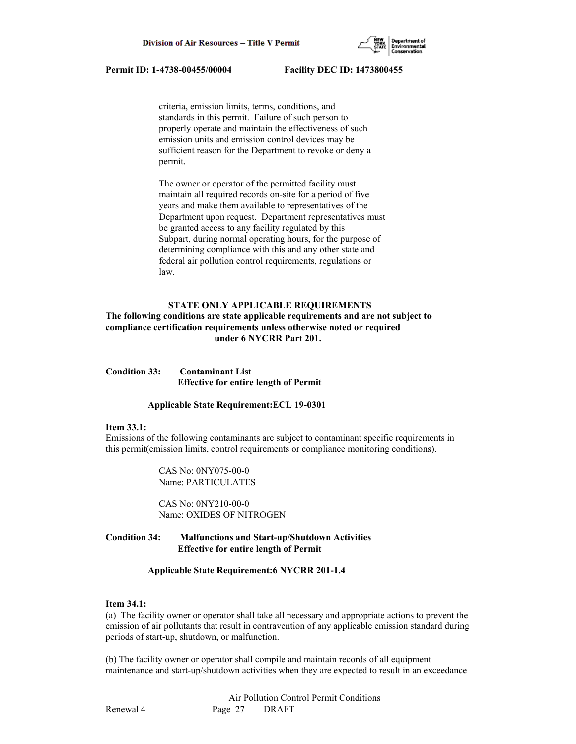

 criteria, emission limits, terms, conditions, and standards in this permit. Failure of such person to properly operate and maintain the effectiveness of such emission units and emission control devices may be sufficient reason for the Department to revoke or deny a permit.

 The owner or operator of the permitted facility must maintain all required records on-site for a period of five years and make them available to representatives of the Department upon request. Department representatives must be granted access to any facility regulated by this Subpart, during normal operating hours, for the purpose of determining compliance with this and any other state and federal air pollution control requirements, regulations or law.

## **STATE ONLY APPLICABLE REQUIREMENTS**

# **The following conditions are state applicable requirements and are not subject to compliance certification requirements unless otherwise noted or required under 6 NYCRR Part 201.**

**Condition 33: Contaminant List Effective for entire length of Permit**

#### **Applicable State Requirement:ECL 19-0301**

#### **Item 33.1:**

Emissions of the following contaminants are subject to contaminant specific requirements in this permit(emission limits, control requirements or compliance monitoring conditions).

> CAS No: 0NY075-00-0 Name: PARTICULATES

 CAS No: 0NY210-00-0 Name: OXIDES OF NITROGEN

# **Condition 34: Malfunctions and Start-up/Shutdown Activities Effective for entire length of Permit**

#### **Applicable State Requirement:6 NYCRR 201-1.4**

## **Item 34.1:**

(a) The facility owner or operator shall take all necessary and appropriate actions to prevent the emission of air pollutants that result in contravention of any applicable emission standard during periods of start-up, shutdown, or malfunction.

(b) The facility owner or operator shall compile and maintain records of all equipment maintenance and start-up/shutdown activities when they are expected to result in an exceedance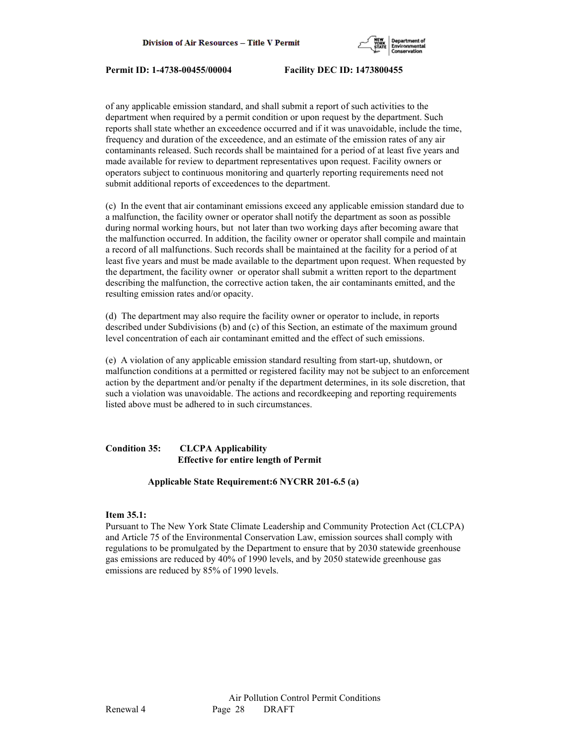

of any applicable emission standard, and shall submit a report of such activities to the department when required by a permit condition or upon request by the department. Such reports shall state whether an exceedence occurred and if it was unavoidable, include the time, frequency and duration of the exceedence, and an estimate of the emission rates of any air contaminants released. Such records shall be maintained for a period of at least five years and made available for review to department representatives upon request. Facility owners or operators subject to continuous monitoring and quarterly reporting requirements need not submit additional reports of exceedences to the department.

(c) In the event that air contaminant emissions exceed any applicable emission standard due to a malfunction, the facility owner or operator shall notify the department as soon as possible during normal working hours, but not later than two working days after becoming aware that the malfunction occurred. In addition, the facility owner or operator shall compile and maintain a record of all malfunctions. Such records shall be maintained at the facility for a period of at least five years and must be made available to the department upon request. When requested by the department, the facility owner or operator shall submit a written report to the department describing the malfunction, the corrective action taken, the air contaminants emitted, and the resulting emission rates and/or opacity.

(d) The department may also require the facility owner or operator to include, in reports described under Subdivisions (b) and (c) of this Section, an estimate of the maximum ground level concentration of each air contaminant emitted and the effect of such emissions.

(e) A violation of any applicable emission standard resulting from start-up, shutdown, or malfunction conditions at a permitted or registered facility may not be subject to an enforcement action by the department and/or penalty if the department determines, in its sole discretion, that such a violation was unavoidable. The actions and recordkeeping and reporting requirements listed above must be adhered to in such circumstances.

# **Condition 35: CLCPA Applicability Effective for entire length of Permit**

## **Applicable State Requirement:6 NYCRR 201-6.5 (a)**

## **Item 35.1:**

Pursuant to The New York State Climate Leadership and Community Protection Act (CLCPA) and Article 75 of the Environmental Conservation Law, emission sources shall comply with regulations to be promulgated by the Department to ensure that by 2030 statewide greenhouse gas emissions are reduced by 40% of 1990 levels, and by 2050 statewide greenhouse gas emissions are reduced by 85% of 1990 levels.